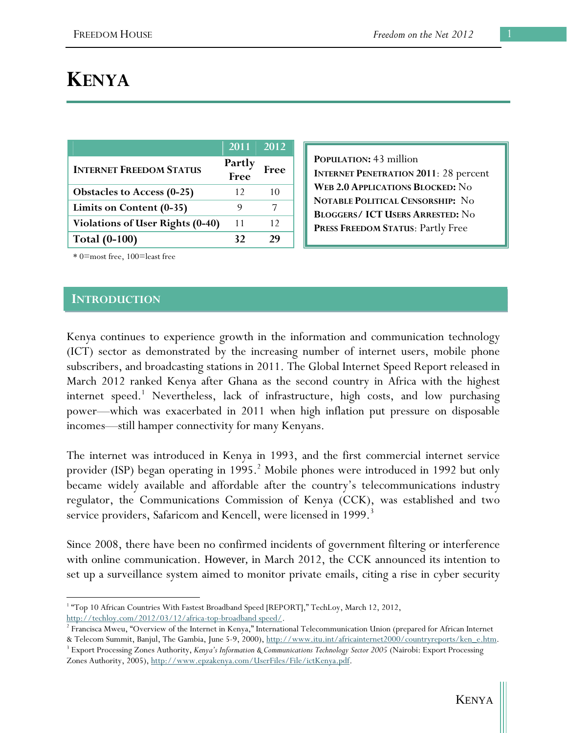# **KENYA**

|                                         | 2011           | 2012 |
|-----------------------------------------|----------------|------|
| <b>INTERNET FREEDOM STATUS</b>          | Partly<br>Free | Free |
| <b>Obstacles to Access (0-25)</b>       | 12             | 10   |
| Limits on Content (0-35)                |                |      |
| <b>Violations of User Rights (0-40)</b> | 11             | 12   |
| <b>Total (0-100)</b>                    | 39             | 74   |

**POPULATION:** 43 million **INTERNET PENETRATION 2011**: 28 percent **WEB 2.0 APPLICATIONS BLOCKED:** No **NOTABLE POLITICAL CENSORSHIP:** No **BLOGGERS/ ICT USERS ARRESTED:** No **PRESS FREEDOM STATUS**: Partly Free

\* 0=most free, 100=least free

#### **INTRODUCTION**

Kenya continues to experience growth in the information and communication technology (ICT) sector as demonstrated by the increasing number of internet users, mobile phone subscribers, and broadcasting stations in 2011. The Global Internet Speed Report released in March 2012 ranked Kenya after Ghana as the second country in Africa with the highest internet speed.<sup>1</sup> Nevertheless, lack of infrastructure, high costs, and low purchasing power—which was exacerbated in 2011 when high inflation put pressure on disposable incomes—still hamper connectivity for many Kenyans.

The internet was introduced in Kenya in 1993, and the first commercial internet service provider (ISP) began operating in 1995.<sup>2</sup> Mobile phones were introduced in 1992 but only became widely available and affordable after the country's telecommunications industry regulator, the Communications Commission of Kenya (CCK), was established and two service providers, Safaricom and Kencell, were licensed in 1999.<sup>3</sup>

Since 2008, there have been no confirmed incidents of government filtering or interference with online communication. However, in March 2012, the CCK announced its intention to set up a surveillance system aimed to monitor private emails, citing a rise in cyber security

 $\overline{a}$ <sup>1</sup> "Top 10 African Countries With Fastest Broadband Speed [REPORT]," TechLoy, March 12, 2012, http://techloy.com/2012/03/12/africa-top-broadband speed/.

 $2$  Francisca Mweu, "Overview of the Internet in Kenya," International Telecommunication Union (prepared for African Internet & Telecom Summit, Banjul, The Gambia, June 5-9, 2000), http://www.itu.int/africainternet2000/countryreports/ken\_e.htm. 3

<sup>&</sup>lt;sup>3</sup> Export Processing Zones Authority, *Kenya's Information & Communications Technology Sector 2005* (Nairobi: Export Processing Zones Authority, 2005), http://www.epzakenya.com/UserFiles/File/ictKenya.pdf.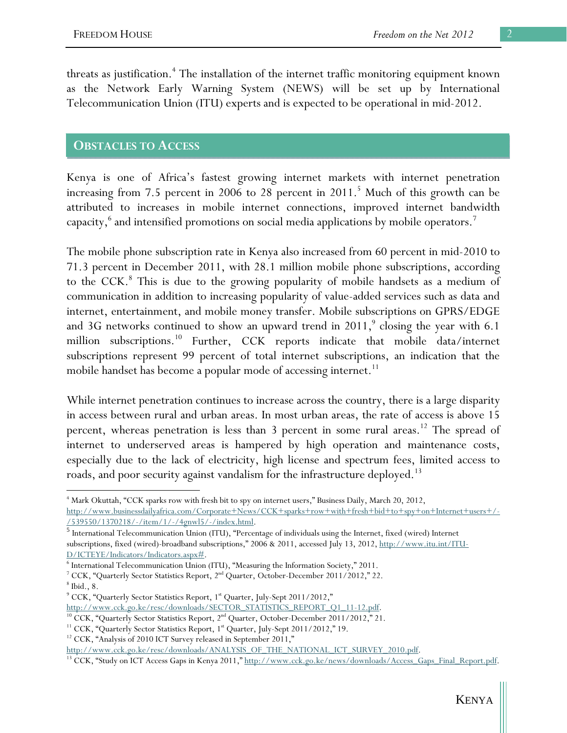threats as justification.<sup>4</sup> The installation of the internet traffic monitoring equipment known as the Network Early Warning System (NEWS) will be set up by International Telecommunication Union (ITU) experts and is expected to be operational in mid-2012.

### **OBSTACLES TO ACCESS**

Kenya is one of Africa's fastest growing internet markets with internet penetration increasing from 7.5 percent in 2006 to 28 percent in 2011.<sup>5</sup> Much of this growth can be attributed to increases in mobile internet connections, improved internet bandwidth capacity, $^6$  and intensified promotions on social media applications by mobile operators.  $^7$ 

The mobile phone subscription rate in Kenya also increased from 60 percent in mid-2010 to 71.3 percent in December 2011, with 28.1 million mobile phone subscriptions, according to the CCK.<sup>8</sup> This is due to the growing popularity of mobile handsets as a medium of communication in addition to increasing popularity of value-added services such as data and internet, entertainment, and mobile money transfer. Mobile subscriptions on GPRS/EDGE and 3G networks continued to show an upward trend in  $2011$ , closing the year with 6.1 million subscriptions.<sup>10</sup> Further, CCK reports indicate that mobile data/internet subscriptions represent 99 percent of total internet subscriptions, an indication that the mobile handset has become a popular mode of accessing internet.<sup>11</sup>

While internet penetration continues to increase across the country, there is a large disparity in access between rural and urban areas. In most urban areas, the rate of access is above 15 percent, whereas penetration is less than 3 percent in some rural areas.<sup>12</sup> The spread of internet to underserved areas is hampered by high operation and maintenance costs, especially due to the lack of electricity, high license and spectrum fees, limited access to roads, and poor security against vandalism for the infrastructure deployed.<sup>13</sup>

 $^8$ Ibid., 8.

 $\overline{a}$ 

<sup>4</sup> Mark Okuttah, "CCK sparks row with fresh bit to spy on internet users," Business Daily, March 20, 2012, http://www.businessdailyafrica.com/Corporate+News/CCK+sparks+row+with+fresh+bid+to+spy+on+Internet+users+/- /539550/1370218/-/item/1/-/4gnwl5/-/index.html.

<sup>5</sup> International Telecommunication Union (ITU), "Percentage of individuals using the Internet, fixed (wired) Internet subscriptions, fixed (wired)-broadband subscriptions," 2006 & 2011, accessed July 13, 2012, http://www.itu.int/ITU-D/ICTEYE/Indicators/Indicators.aspx#.

<sup>&</sup>lt;sup>6</sup> International Telecommunication Union (ITU), "Measuring the Information Society," 2011.<br><sup>7</sup> CC<sup>V</sup> . "Overterly Sector Statistics Benert, 2<sup>nd</sup> Overter, October Desember 2011/2012." 22

 $^7$  CCK, "Quarterly Sector Statistics Report,  $2^{nd}$  Quarter, October-December 2011/2012," 22.

<sup>&</sup>lt;sup>9</sup> CCK, "Quarterly Sector Statistics Report, 1<sup>st</sup> Quarter, July-Sept 2011/2012,"

http://www.cck.go.ke/resc/downloads/SECTOR STATISTICS REPORT Q1 11-12.pdf.<br><sup>10</sup> CCK, "Quarterly Sector Statistics Report, 2<sup>nd</sup> Quarter, October-December 2011/2012," 21.<br><sup>11</sup> CCK, "Quarterly Sector Statistics Report, 1<sup>st</sup>

<sup>&</sup>lt;sup>12</sup> CCK, "Analysis of 2010 ICT Survey released in September 2011,"

http://www.cck.go.ke/resc/downloads/ANALYSIS\_OF\_THE\_NATIONAL\_ICT\_SURVEY\_2010.pdf. 13 CCK, "Study on ICT Access Gaps in Kenya 2011," http://www.cck.go.ke/news/downloads/Access\_Gaps\_Final\_Report.pdf.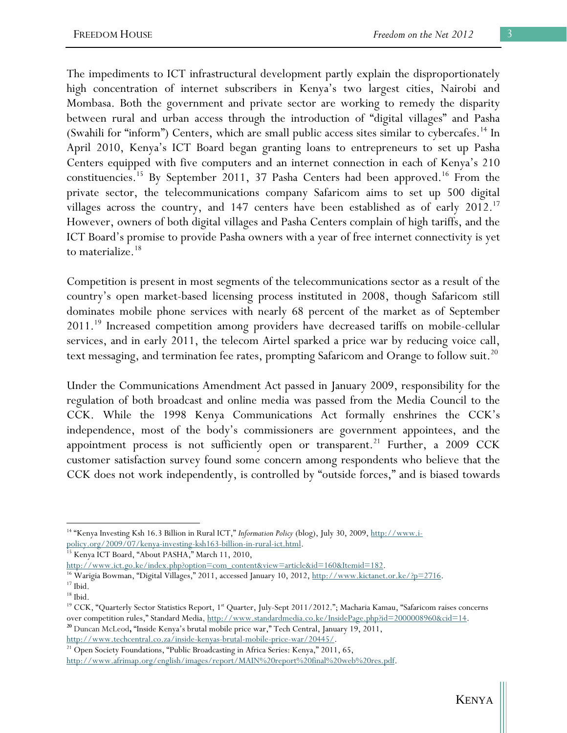The impediments to ICT infrastructural development partly explain the disproportionately high concentration of internet subscribers in Kenya's two largest cities, Nairobi and Mombasa. Both the government and private sector are working to remedy the disparity between rural and urban access through the introduction of "digital villages" and Pasha (Swahili for "inform") Centers, which are small public access sites similar to cybercafes.<sup>14</sup> In April 2010, Kenya's ICT Board began granting loans to entrepreneurs to set up Pasha Centers equipped with five computers and an internet connection in each of Kenya's 210 constituencies.<sup>15</sup> By September 2011, 37 Pasha Centers had been approved.<sup>16</sup> From the private sector, the telecommunications company Safaricom aims to set up 500 digital villages across the country, and 147 centers have been established as of early 2012.<sup>17</sup> However, owners of both digital villages and Pasha Centers complain of high tariffs, and the ICT Board's promise to provide Pasha owners with a year of free internet connectivity is yet to materialize.<sup>18</sup>

Competition is present in most segments of the telecommunications sector as a result of the country's open market-based licensing process instituted in 2008, though Safaricom still dominates mobile phone services with nearly 68 percent of the market as of September 2011.<sup>19</sup> Increased competition among providers have decreased tariffs on mobile-cellular services, and in early 2011, the telecom Airtel sparked a price war by reducing voice call, text messaging, and termination fee rates, prompting Safaricom and Orange to follow suit.<sup>20</sup>

Under the Communications Amendment Act passed in January 2009, responsibility for the regulation of both broadcast and online media was passed from the Media Council to the CCK. While the 1998 Kenya Communications Act formally enshrines the CCK's independence, most of the body's commissioners are government appointees, and the appointment process is not sufficiently open or transparent.<sup>21</sup> Further, a 2009 CCK customer satisfaction survey found some concern among respondents who believe that the CCK does not work independently, is controlled by "outside forces," and is biased towards

http://www.techcentral.co.za/inside-kenyas-brutal-mobile-price-war/20445/.

 $\overline{a}$ 14 "Kenya Investing Ksh 16.3 Billion in Rural ICT," *Information Policy* (blog), July 30, 2009, http://www.ipolicy.org/2009/07/kenya-investing-ksh163-billion-in-rural-ict.html. 15 Kenya ICT Board, "About PASHA," March 11, 2010,

http://www.ict.go.ke/index.php?option=com\_content&view=article&id=160&Itemid=182.<br><sup>16</sup> Warigia Bowman, "Digital Villages," 2011, accessed January 10, 2012, <u>http://www.kictanet.or.ke/?p=2716</u>.<br><sup>17</sup> Ibid.

 $^{\rm 18}$  Ibid.

<sup>&</sup>lt;sup>19</sup> CCK, "Quarterly Sector Statistics Report, 1<sup>st</sup> Quarter, July-Sept 2011/2012."; Macharia Kamau, "Safaricom raises concerns over competition rules," Standard Media, http://www.standardmedia.co.ke/InsidePage.php?id=2000008960&cid=14. **<sup>20</sup>** Duncan McLeod**,** "Inside Kenya's brutal mobile price war," Tech Central, January 19, 2011,

<sup>&</sup>lt;sup>21</sup> Open Society Foundations, "Public Broadcasting in Africa Series: Kenya," 2011, 65, http://www.afrimap.org/english/images/report/MAIN%20report%20final%20web%20res.pdf.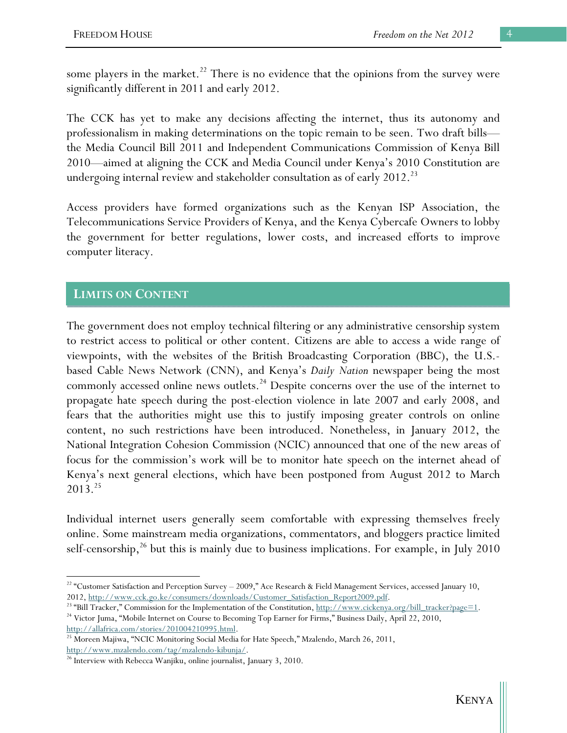some players in the market.<sup>22</sup> There is no evidence that the opinions from the survey were significantly different in 2011 and early 2012.

The CCK has yet to make any decisions affecting the internet, thus its autonomy and professionalism in making determinations on the topic remain to be seen. Two draft bills the Media Council Bill 2011 and Independent Communications Commission of Kenya Bill 2010—aimed at aligning the CCK and Media Council under Kenya's 2010 Constitution are undergoing internal review and stakeholder consultation as of early 2012.<sup>23</sup>

Access providers have formed organizations such as the Kenyan ISP Association, the Telecommunications Service Providers of Kenya, and the Kenya Cybercafe Owners to lobby the government for better regulations, lower costs, and increased efforts to improve computer literacy.

## **LIMITS ON CONTENT**

 $\overline{a}$ 

The government does not employ technical filtering or any administrative censorship system to restrict access to political or other content. Citizens are able to access a wide range of viewpoints, with the websites of the British Broadcasting Corporation (BBC), the U.S. based Cable News Network (CNN), and Kenya's *Daily Nation* newspaper being the most commonly accessed online news outlets.<sup>24</sup> Despite concerns over the use of the internet to propagate hate speech during the post-election violence in late 2007 and early 2008, and fears that the authorities might use this to justify imposing greater controls on online content, no such restrictions have been introduced. Nonetheless, in January 2012, the National Integration Cohesion Commission (NCIC) announced that one of the new areas of focus for the commission's work will be to monitor hate speech on the internet ahead of Kenya's next general elections, which have been postponed from August 2012 to March 2013.25

Individual internet users generally seem comfortable with expressing themselves freely online. Some mainstream media organizations, commentators, and bloggers practice limited self-censorship,<sup>26</sup> but this is mainly due to business implications. For example, in July 2010

<sup>&</sup>lt;sup>22</sup> "Customer Satisfaction and Perception Survey - 2009," Ace Research & Field Management Services, accessed January 10,

<sup>2012, &</sup>lt;u>http://www.cck.go.ke/consumers/downloads/Customer\_Satisfaction\_Report2009.pdf</u>.<br><sup>23</sup> "Bill Tracker," Commission for the Implementation of the Constitution, <u>http://www.cickenya.org/bill\_tracker?page=1</u>.<br><sup>24</sup> Victor

http://allafrica.com/stories/201004210995.html.<br><sup>25</sup> Moreen Majiwa, "NCIC Monitoring Social Media for Hate Speech," Mzalendo, March 26, 2011,

http://www.mzalendo.com/tag/mzalendo-kibunja/.<br><sup>26</sup> Interview with Rebecca Wanjiku, online journalist, January 3, 2010.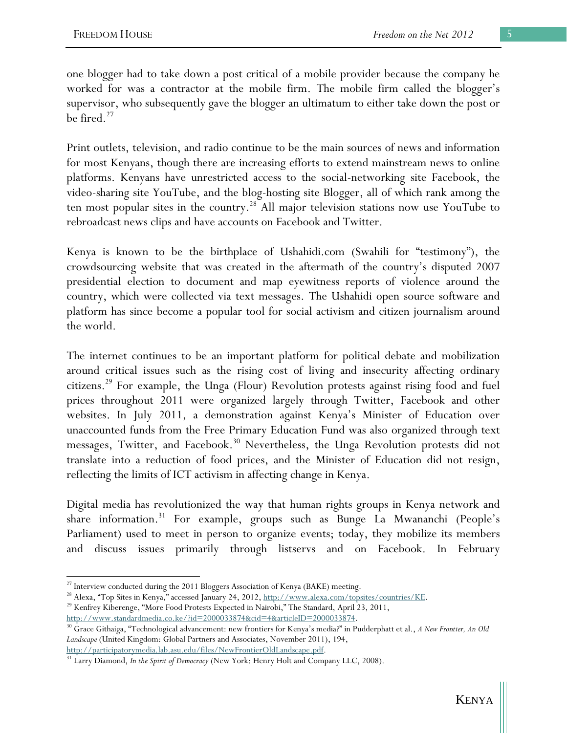one blogger had to take down a post critical of a mobile provider because the company he worked for was a contractor at the mobile firm. The mobile firm called the blogger's supervisor, who subsequently gave the blogger an ultimatum to either take down the post or be fired. $27$ 

Print outlets, television, and radio continue to be the main sources of news and information for most Kenyans, though there are increasing efforts to extend mainstream news to online platforms. Kenyans have unrestricted access to the social-networking site Facebook, the video-sharing site YouTube, and the blog-hosting site Blogger, all of which rank among the ten most popular sites in the country.<sup>28</sup> All major television stations now use YouTube to rebroadcast news clips and have accounts on Facebook and Twitter.

Kenya is known to be the birthplace of Ushahidi.com (Swahili for "testimony"), the crowdsourcing website that was created in the aftermath of the country's disputed 2007 presidential election to document and map eyewitness reports of violence around the country, which were collected via text messages. The Ushahidi open source software and platform has since become a popular tool for social activism and citizen journalism around the world.

The internet continues to be an important platform for political debate and mobilization around critical issues such as the rising cost of living and insecurity affecting ordinary citizens.29 For example, the Unga (Flour) Revolution protests against rising food and fuel prices throughout 2011 were organized largely through Twitter, Facebook and other websites. In July 2011, a demonstration against Kenya's Minister of Education over unaccounted funds from the Free Primary Education Fund was also organized through text messages, Twitter, and Facebook.<sup>30</sup> Nevertheless, the Unga Revolution protests did not translate into a reduction of food prices, and the Minister of Education did not resign, reflecting the limits of ICT activism in affecting change in Kenya.

Digital media has revolutionized the way that human rights groups in Kenya network and share information.<sup>31</sup> For example, groups such as Bunge La Mwananchi (People's Parliament) used to meet in person to organize events; today, they mobilize its members and discuss issues primarily through listservs and on Facebook. In February

 $\overline{a}$ 

<sup>&</sup>lt;sup>27</sup> Interview conducted during the 2011 Bloggers Association of Kenya (BAKE) meeting.

<sup>&</sup>lt;sup>28</sup> Alexa, "Top Sites in Kenya," accessed January 24, 2012,  $\frac{http://www.alexa.com/topsites/countries/KE}{http://www.alexa.com/topsites/countries/KE}$ .<br><sup>29</sup> Kenfrey Kiberenge, "More Food Protests Expected in Nairobi," The Standard, April 23, 2011,

http://www.standardmedia.co.ke/?id=2000033874&cid=4&articleID=2000033874. 30 Grace Githaiga, "Technological advancement: new frontiers for Kenya's media?" in Pudderphatt et al., *A New Frontier, An Old Landscape* (United Kingdom: Global Partners and Associates, November 2011), 194,

http://participatorymedia.lab.asu.edu/files/NewFrontierOldLandscape.pdf. 31 Larry Diamond, *In the Spirit of Democracy* (New York: Henry Holt and Company LLC, 2008).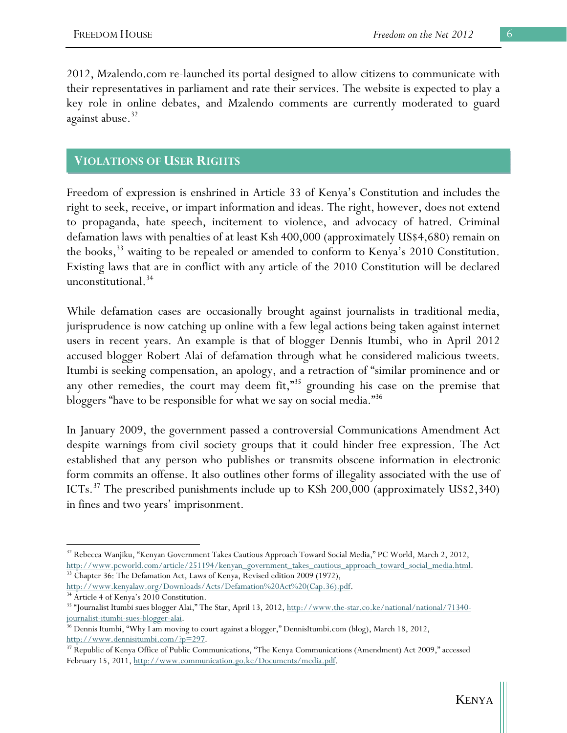2012, Mzalendo.com re-launched its portal designed to allow citizens to communicate with their representatives in parliament and rate their services. The website is expected to play a key role in online debates, and Mzalendo comments are currently moderated to guard against abuse. $32$ 

#### **VIOLATIONS OF USER RIGHTS**

Freedom of expression is enshrined in Article 33 of Kenya's Constitution and includes the right to seek, receive, or impart information and ideas. The right, however, does not extend to propaganda, hate speech, incitement to violence, and advocacy of hatred. Criminal defamation laws with penalties of at least Ksh 400,000 (approximately US\$4,680) remain on the books,<sup>33</sup> waiting to be repealed or amended to conform to Kenya's 2010 Constitution. Existing laws that are in conflict with any article of the 2010 Constitution will be declared unconstitutional.<sup>34</sup>

While defamation cases are occasionally brought against journalists in traditional media, jurisprudence is now catching up online with a few legal actions being taken against internet users in recent years. An example is that of blogger Dennis Itumbi, who in April 2012 accused blogger Robert Alai of defamation through what he considered malicious tweets. Itumbi is seeking compensation, an apology, and a retraction of "similar prominence and or any other remedies, the court may deem fit,"35 grounding his case on the premise that bloggers "have to be responsible for what we say on social media."<sup>36</sup>

In January 2009, the government passed a controversial Communications Amendment Act despite warnings from civil society groups that it could hinder free expression. The Act established that any person who publishes or transmits obscene information in electronic form commits an offense. It also outlines other forms of illegality associated with the use of ICTs.<sup>37</sup> The prescribed punishments include up to KSh 200,000 (approximately US\$2,340) in fines and two years' imprisonment.

 $\overline{a}$ 

<sup>&</sup>lt;sup>32</sup> Rebecca Wanjiku, "Kenyan Government Takes Cautious Approach Toward Social Media," PC World, March 2, 2012, http://www.pcworld.com/article/251194/kenyan\_government\_takes\_cautious\_approach\_toward\_social\_media.html. <sup>33</sup> Chapter 36: The Defamation Act, Laws of Kenya, Revised edition 2009 (1972),

http://www.kenyalaw.org/Downloads/Acts/Defamation%20Act%20(Cap.36).pdf.

<sup>&</sup>lt;sup>34</sup> Article 4 of Kenya's 2010 Constitution.

<sup>&</sup>lt;sup>35</sup> "Journalist Itumbi sues blogger Alai," The Star, April 13, 2012, http://www.the-star.co.ke/national/national/71340journalist-itumbi-sues-blogger-alai.<br><sup>36</sup> Dennis Itumbi, "Why I am moving to court against a blogger," DennisItumbi.com (blog), March 18, 2012,

http://www.dennisitumbi.com/?p=297.<br><sup>37</sup> Republic of Kenya Office of Public Communications, "The Kenya Communications (Amendment) Act 2009," accessed February 15, 2011, http://www.communication.go.ke/Documents/media.pdf.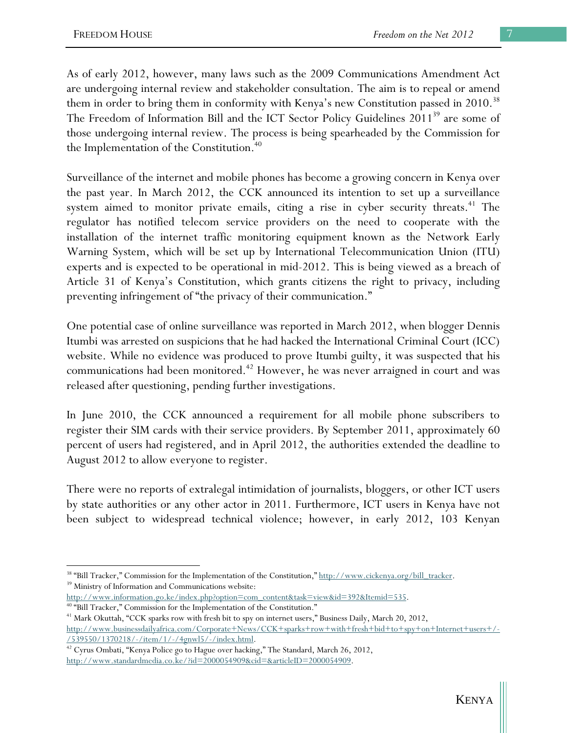As of early 2012, however, many laws such as the 2009 Communications Amendment Act are undergoing internal review and stakeholder consultation. The aim is to repeal or amend them in order to bring them in conformity with Kenya's new Constitution passed in 2010.<sup>38</sup> The Freedom of Information Bill and the ICT Sector Policy Guidelines 2011<sup>39</sup> are some of those undergoing internal review. The process is being spearheaded by the Commission for the Implementation of the Constitution.<sup>40</sup>

Surveillance of the internet and mobile phones has become a growing concern in Kenya over the past year. In March 2012, the CCK announced its intention to set up a surveillance system aimed to monitor private emails, citing a rise in cyber security threats.<sup>41</sup> The regulator has notified telecom service providers on the need to cooperate with the installation of the internet traffic monitoring equipment known as the Network Early Warning System, which will be set up by International Telecommunication Union (ITU) experts and is expected to be operational in mid-2012. This is being viewed as a breach of Article 31 of Kenya's Constitution, which grants citizens the right to privacy, including preventing infringement of "the privacy of their communication."

One potential case of online surveillance was reported in March 2012, when blogger Dennis Itumbi was arrested on suspicions that he had hacked the International Criminal Court (ICC) website. While no evidence was produced to prove Itumbi guilty, it was suspected that his communications had been monitored.<sup>42</sup> However, he was never arraigned in court and was released after questioning, pending further investigations.

In June 2010, the CCK announced a requirement for all mobile phone subscribers to register their SIM cards with their service providers. By September 2011, approximately 60 percent of users had registered, and in April 2012, the authorities extended the deadline to August 2012 to allow everyone to register.

There were no reports of extralegal intimidation of journalists, bloggers, or other ICT users by state authorities or any other actor in 2011. Furthermore, ICT users in Kenya have not been subject to widespread technical violence; however, in early 2012, 103 Kenyan

 $\overline{a}$ <sup>38</sup> "Bill Tracker," Commission for the Implementation of the Constitution,"  $\frac{\text{http://www.cickenya.org/bill-tracker.}}{\text{Ministry of Information and Communications website:}}$ 

http://www.information.go.ke/index.php?option=com\_content&task=view&id=392&Itemid=535.<br><sup>40</sup> "Bill Tracker," Commission for the Implementation of the Constitution."<br><sup>41</sup> Mark Okuttah, "CCK sparks row with fresh bit to spy o

http://www.businessdailyafrica.com/Corporate+News/CCK+sparks+row+with+fresh+bid+to+spy+on+Internet+users+/-

 $/539550/1370218/-/item/1/-/4gnwl5/-/index.html.$ <sup>42</sup> Cyrus Ombati, "Kenya Police go to Hague over hacking," The Standard, March 26, 2012, http://www.standardmedia.co.ke/?id=2000054909&cid=&articleID=2000054909.